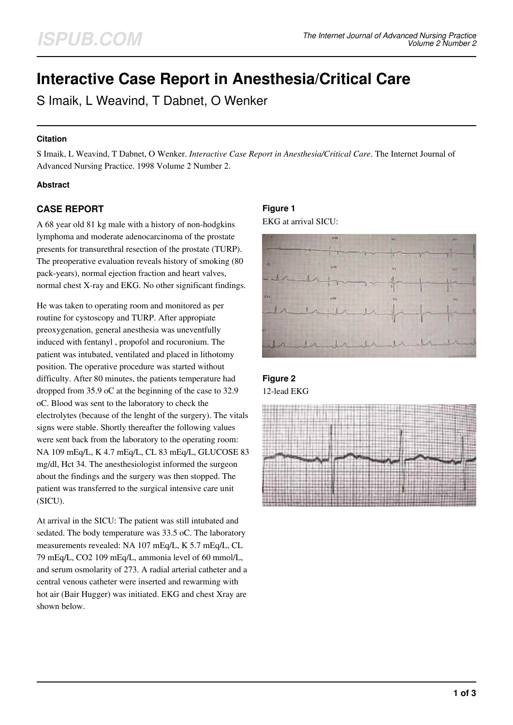# **Interactive Case Report in Anesthesia/Critical Care**

S Imaik, L Weavind, T Dabnet, O Wenker

### **Citation**

S Imaik, L Weavind, T Dabnet, O Wenker. *Interactive Case Report in Anesthesia/Critical Care*. The Internet Journal of Advanced Nursing Practice. 1998 Volume 2 Number 2.

### **Abstract**

### **CASE REPORT**

A 68 year old 81 kg male with a history of non-hodgkins lymphoma and moderate adenocarcinoma of the prostate presents for transurethral resection of the prostate (TURP). The preoperative evaluation reveals history of smoking (80 pack-years), normal ejection fraction and heart valves, normal chest X-ray and EKG. No other significant findings.

He was taken to operating room and monitored as per routine for cystoscopy and TURP. After appropiate preoxygenation, general anesthesia was uneventfully induced with fentanyl , propofol and rocuronium. The patient was intubated, ventilated and placed in lithotomy position. The operative procedure was started without difficulty. After 80 minutes, the patients temperature had dropped from 35.9 oC at the beginning of the case to 32.9 oC. Blood was sent to the laboratory to check the electrolytes (because of the lenght of the surgery). The vitals signs were stable. Shortly thereafter the following values were sent back from the laboratory to the operating room: NA 109 mEq/L, K 4.7 mEq/L, CL 83 mEq/L, GLUCOSE 83 mg/dl, Hct 34. The anesthesiologist informed the surgeon about the findings and the surgery was then stopped. The patient was transferred to the surgical intensive care unit (SICU).

At arrival in the SICU: The patient was still intubated and sedated. The body temperature was 33.5 oC. The laboratory measurements revealed: NA 107 mEq/L, K 5.7 mEq/L, CL 79 mEq/L, CO2 109 mEq/L, ammonia level of 60 mmol/L, and serum osmolarity of 273. A radial arterial catheter and a central venous catheter were inserted and rewarming with hot air (Bair Hugger) was initiated. EKG and chest Xray are shown below.

### **Figure 1** EKG at arrival SICU:



## **Figure 2** 12-lead EKG

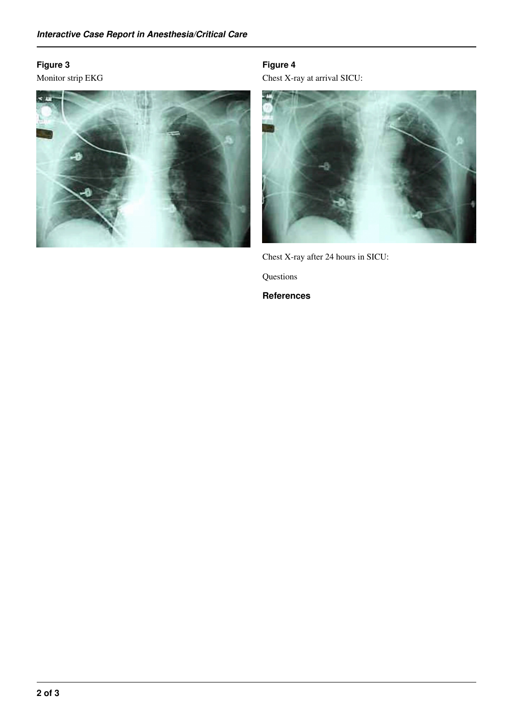## **Figure 3**

Monitor strip EKG



**Figure 4** Chest X-ray at arrival SICU:



Chest X-ray after 24 hours in SICU:

Questions

**References**